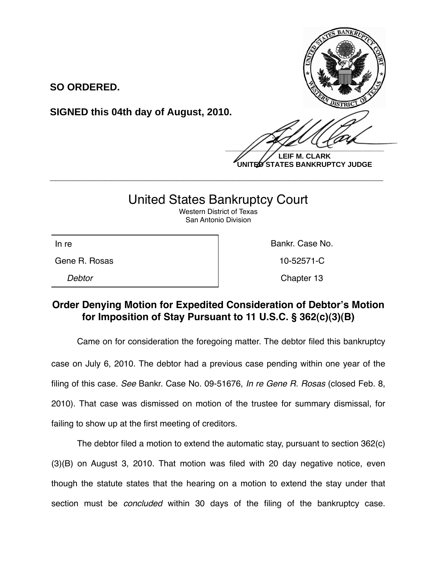**SO ORDERED.**

**SIGNED this 04th day of August, 2010.**

 $\frac{1}{2}$ 

**LEIF M. CLARK UNITED STATES BANKRUPTCY JUDGE**

## United States Bankruptcy Court

**\_\_\_\_\_\_\_\_\_\_\_\_\_\_\_\_\_\_\_\_\_\_\_\_\_\_\_\_\_\_\_\_\_\_\_\_\_\_\_\_\_\_\_\_\_\_\_\_\_\_\_\_\_\_\_\_\_\_\_\_**

Western District of Texas San Antonio Division

Gene R. Rosas 10-52571-C

In re **Bankr.** Case No.

**Debtor** Chapter 13

## **Order Denying Motion for Expedited Consideration of Debtor's Motion for Imposition of Stay Pursuant to 11 U.S.C. § 362(c)(3)(B)**

Came on for consideration the foregoing matter. The debtor filed this bankruptcy case on July 6, 2010. The debtor had a previous case pending within one year of the filing of this case. *See* Bankr. Case No. 09-51676, *In re Gene R. Rosas* (closed Feb. 8, 2010). That case was dismissed on motion of the trustee for summary dismissal, for failing to show up at the first meeting of creditors.

The debtor filed a motion to extend the automatic stay, pursuant to section 362(c) (3)(B) on August 3, 2010. That motion was filed with 20 day negative notice, even though the statute states that the hearing on a motion to extend the stay under that section must be *concluded* within 30 days of the filing of the bankruptcy case.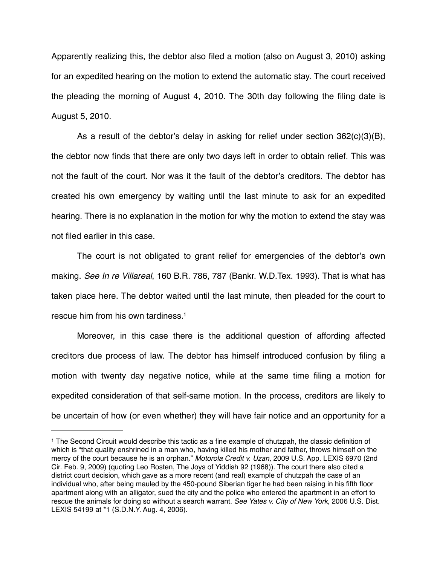Apparently realizing this, the debtor also filed a motion (also on August 3, 2010) asking for an expedited hearing on the motion to extend the automatic stay. The court received the pleading the morning of August 4, 2010. The 30th day following the filing date is August 5, 2010.

As a result of the debtor's delay in asking for relief under section 362(c)(3)(B), the debtor now finds that there are only two days left in order to obtain relief. This was not the fault of the court. Nor was it the fault of the debtor's creditors. The debtor has created his own emergency by waiting until the last minute to ask for an expedited hearing. There is no explanation in the motion for why the motion to extend the stay was not filed earlier in this case.

The court is not obligated to grant relief for emergencies of the debtor's own making. *See In re Villareal*, 160 B.R. 786, 787 (Bankr. W.D.Tex. 1993). That is what has taken place here. The debtor waited until the last minute, then pleaded for the court to rescue him from his own tardiness[.1](#page-1-0)

Moreover, in this case there is the additional question of affording affected creditors due process of law. The debtor has himself introduced confusion by filing a motion with twenty day negative notice, while at the same time filing a motion for expedited consideration of that self-same motion. In the process, creditors are likely to be uncertain of how (or even whether) they will have fair notice and an opportunity for a

<span id="page-1-0"></span><sup>1</sup> The Second Circuit would describe this tactic as a fine example of chutzpah, the classic definition of which is "that quality enshrined in a man who, having killed his mother and father, throws himself on the mercy of the court because he is an orphan." *Motorola Credit v. Uzan,* 2009 U.S. App. LEXIS 6970 (2nd Cir. Feb. 9, 2009) (quoting Leo Rosten, The Joys of Yiddish 92 (1968)). The court there also cited a district court decision, which gave as a more recent (and real) example of chutzpah the case of an individual who, after being mauled by the 450-pound Siberian tiger he had been raising in his fifth floor apartment along with an alligator, sued the city and the police who entered the apartment in an effort to rescue the animals for doing so without a search warrant. *See Yates v. City of New York*, 2006 U.S. Dist. LEXIS 54199 at \*1 (S.D.N.Y. Aug. 4, 2006).